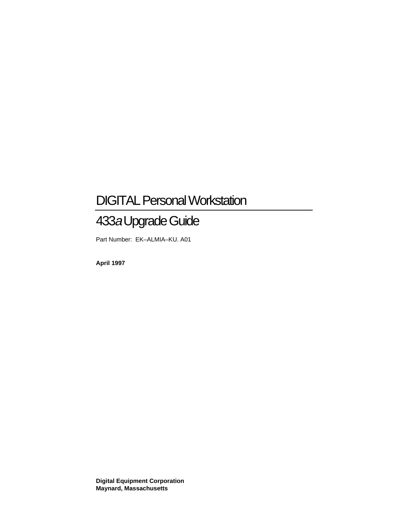# DIGITAL Personal Workstation

# 433a Upgrade Guide

Part Number: EK–ALMIA–KU. A01

**April 1997**

**Digital Equipment Corporation Maynard, Massachusetts**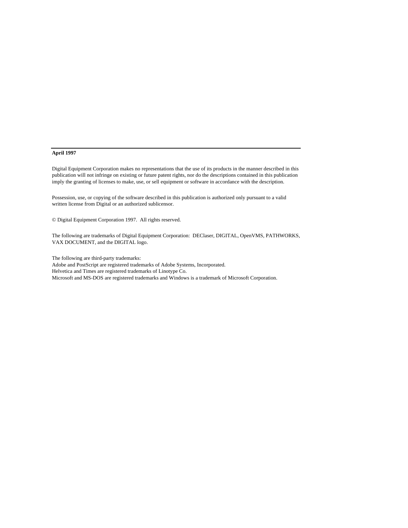#### **April 1997**

Digital Equipment Corporation makes no representations that the use of its products in the manner described in this publication will not infringe on existing or future patent rights, nor do the descriptions contained in this publication imply the granting of licenses to make, use, or sell equipment or software in accordance with the description.

Possession, use, or copying of the software described in this publication is authorized only pursuant to a valid written license from Digital or an authorized sublicensor.

© Digital Equipment Corporation 1997. All rights reserved.

The following are trademarks of Digital Equipment Corporation: DEClaser, DIGITAL, OpenVMS, PATHWORKS, VAX DOCUMENT, and the DIGITAL logo.

The following are third-party trademarks:

Adobe and PostScript are registered trademarks of Adobe Systems, Incorporated.

Helvetica and Times are registered trademarks of Linotype Co.

Microsoft and MS-DOS are registered trademarks and Windows is a trademark of Microsoft Corporation.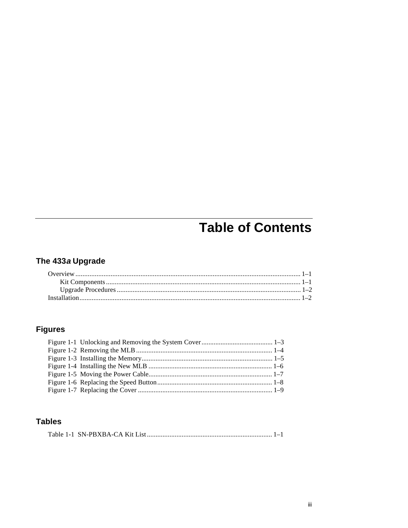# **Table of Contents**

# The 433a Upgrade

# **Figures**

## **Tables**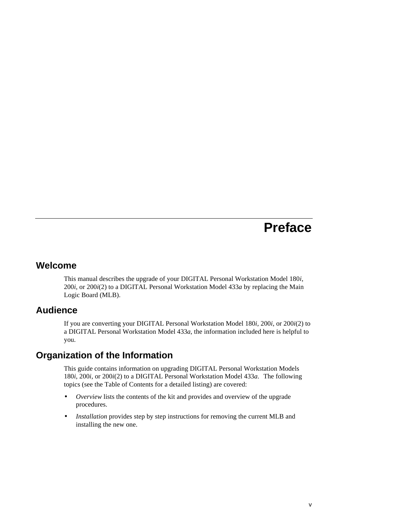# **Preface**

### **Welcome**

This manual describes the upgrade of your DIGITAL Personal Workstation Model 180*i*, 200*i*, or 200*i*(2) to a DIGITAL Personal Workstation Model 433*a* by replacing the Main Logic Board (MLB).

### **Audience**

If you are converting your DIGITAL Personal Workstation Model 180*i*, 200*i*, or 200*i*(2) to a DIGITAL Personal Workstation Model 433*a*, the information included here is helpful to you.

### **Organization of the Information**

This guide contains information on upgrading DIGITAL Personal Workstation Models 180*i*, 200*i*, or 200*i*(2) to a DIGITAL Personal Workstation Model 433*a*.The following topics (see the Table of Contents for a detailed listing) are covered:

- *Overview* lists the contents of the kit and provides and overview of the upgrade procedures.
- *Installation* provides step by step instructions for removing the current MLB and installing the new one.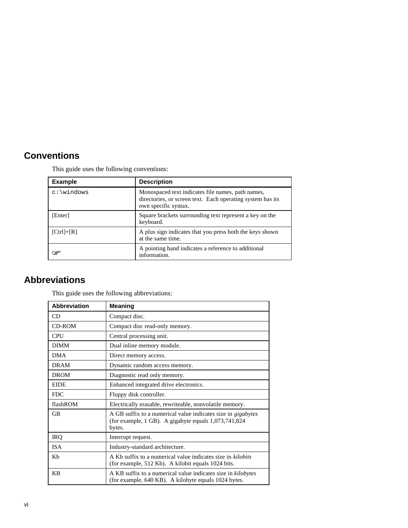# **Conventions**

| <b>Example</b> | <b>Description</b>                                                                                                                      |
|----------------|-----------------------------------------------------------------------------------------------------------------------------------------|
|                | Monospaced text indicates file names, path names,<br>directories, or screen text. Each operating system has its<br>own specific syntax. |
| [Enter]        | Square brackets surrounding text represent a key on the<br>keyboard.                                                                    |
| $[Ctrl]+[R]$   | A plus sign indicates that you press both the keys shown<br>at the same time.                                                           |
|                | A pointing hand indicates a reference to additional<br>information.                                                                     |

This guide uses the following conventions:

## **Abbreviations**

|  |  |  | This guide uses the following abbreviations: |
|--|--|--|----------------------------------------------|
|  |  |  |                                              |

| <b>Abbreviation</b> | <b>Meaning</b>                                                                                                                            |
|---------------------|-------------------------------------------------------------------------------------------------------------------------------------------|
| <b>CD</b>           | Compact disc.                                                                                                                             |
| CD-ROM              | Compact disc read-only memory.                                                                                                            |
| <b>CPU</b>          | Central processing unit.                                                                                                                  |
| <b>DIMM</b>         | Dual inline memory module.                                                                                                                |
| <b>DMA</b>          | Direct memory access.                                                                                                                     |
| <b>DRAM</b>         | Dynamic random access memory.                                                                                                             |
| <b>DROM</b>         | Diagnostic read only memory.                                                                                                              |
| <b>EIDE</b>         | Enhanced integrated drive electronics.                                                                                                    |
| <b>FDC</b>          | Floppy disk controller.                                                                                                                   |
| flashROM            | Electrically erasable, rewriteable, nonvolatile memory.                                                                                   |
| GB                  | A GB suffix to a numerical value indicates size in <i>gigabytes</i><br>(for example, $1$ GB). A gigabyte equals $1,073,741,824$<br>bytes. |
| IRQ                 | Interrupt request.                                                                                                                        |
| <b>ISA</b>          | Industry-standard architecture.                                                                                                           |
| Kb                  | A Kb suffix to a numerical value indicates size in kilobits<br>(for example, 512 Kb). A kilobit equals 1024 bits.                         |
| KB                  | A KB suffix to a numerical value indicates size in kilobytes<br>(for example, 640 KB). A kilobyte equals 1024 bytes.                      |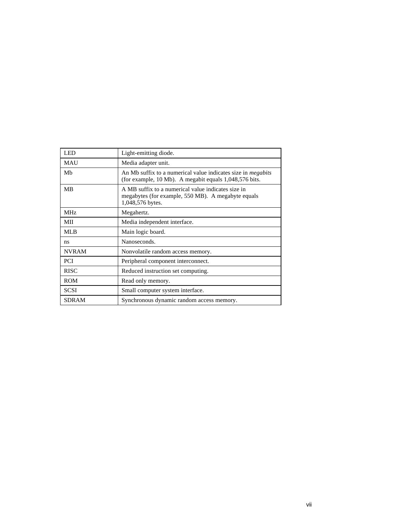| LED             | Light-emitting diode.                                                                                                                               |
|-----------------|-----------------------------------------------------------------------------------------------------------------------------------------------------|
| <b>MAU</b>      | Media adapter unit.                                                                                                                                 |
| Mb              | An Mb suffix to a numerical value indicates size in <i>megabits</i><br>(for example, $10 \text{ Mb}$ ). A megabit equals $1,048,576 \text{ bits}$ . |
| <b>MB</b>       | A MB suffix to a numerical value indicates size in<br>megabytes (for example, 550 MB). A megabyte equals<br>1,048,576 bytes.                        |
| MH <sub>z</sub> | Megahertz.                                                                                                                                          |
| MII             | Media independent interface.                                                                                                                        |
| ML <sub>B</sub> | Main logic board.                                                                                                                                   |
| ns              | Nanoseconds.                                                                                                                                        |
| <b>NVRAM</b>    | Nonvolatile random access memory.                                                                                                                   |
| <b>PCI</b>      | Peripheral component interconnect.                                                                                                                  |
| <b>RISC</b>     | Reduced instruction set computing.                                                                                                                  |
| <b>ROM</b>      | Read only memory.                                                                                                                                   |
| <b>SCSI</b>     | Small computer system interface.                                                                                                                    |
| <b>SDRAM</b>    | Synchronous dynamic random access memory.                                                                                                           |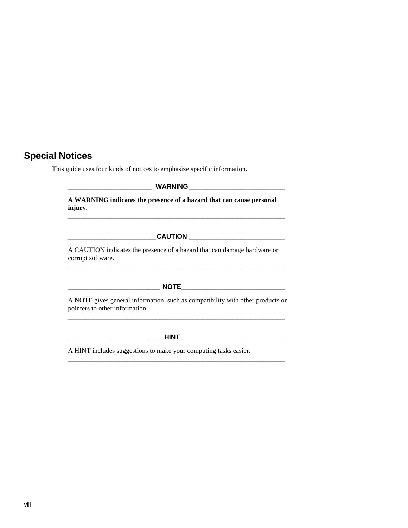# **Special Notices**

This guide uses four kinds of notices to emphasize specific information.

| A WARNING indicates the presence of a hazard that can cause personal<br>injury.                                  |  |  |  |
|------------------------------------------------------------------------------------------------------------------|--|--|--|
|                                                                                                                  |  |  |  |
| A CAUTION indicates the presence of a hazard that can damage hardware or<br>corrupt software.                    |  |  |  |
|                                                                                                                  |  |  |  |
| A NOTE gives general information, such as compatibility with other products or<br>pointers to other information. |  |  |  |

**\_\_\_\_\_\_\_\_\_\_\_\_\_\_\_\_\_\_\_\_\_\_\_\_\_\_HINT \_\_\_\_\_\_\_\_\_\_\_\_\_\_\_\_\_\_\_\_\_\_\_\_\_\_\_\_**

**\_\_\_\_\_\_\_\_\_\_\_\_\_\_\_\_\_\_\_\_\_\_\_\_\_\_\_\_\_\_\_\_\_\_\_\_\_\_\_\_\_\_\_\_\_\_\_\_\_\_\_\_\_\_\_\_\_\_\_**

A HINT includes suggestions to make your computing tasks easier.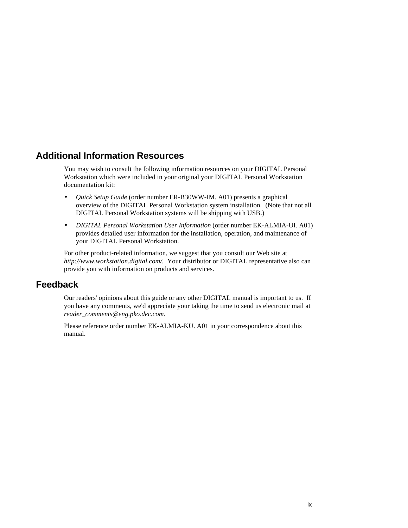### **Additional Information Resources**

You may wish to consult the following information resources on your DIGITAL Personal Workstation which were included in your original your DIGITAL Personal Workstation documentation kit:

- *Quick Setup Guide* (order number ER-B30WW-IM. A01) presents a graphical overview of the DIGITAL Personal Workstation system installation. (Note that not all DIGITAL Personal Workstation systems will be shipping with USB.)
- *DIGITAL Personal Workstation User Information* (order number EK-ALMIA-UI. A01) provides detailed user information for the installation, operation, and maintenance of your DIGITAL Personal Workstation.

For other product-related information, we suggest that you consult our Web site at *http://www.workstation.digital.com/.* Your distributor or DIGITAL representative also can provide you with information on products and services.

### **Feedback**

Our readers' opinions about this guide or any other DIGITAL manual is important to us. If you have any comments, we'd appreciate your taking the time to send us electronic mail at *reader\_comments@eng.pko.dec.com*.

Please reference order number EK-ALMIA-KU. A01 in your correspondence about this manual.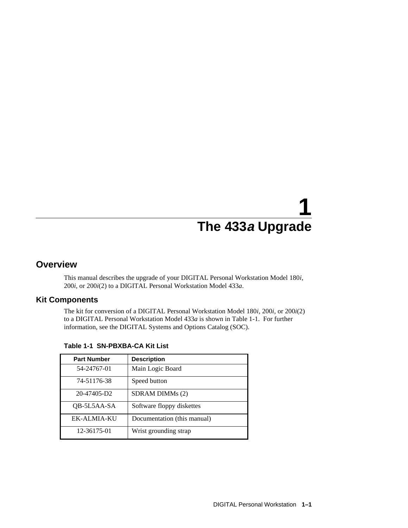### **Overview**

This manual describes the upgrade of your DIGITAL Personal Workstation Model 180*i*, 200*i*, or 200*i*(2) to a DIGITAL Personal Workstation Model 433*a*.

### **Kit Components**

The kit for conversion of a DIGITAL Personal Workstation Model 180*i*, 200*i*, or 200*i*(2) to a DIGITAL Personal Workstation Model 433*a* is shown in Table 1-1. For further information, see the DIGITAL Systems and Options Catalog (SOC).

| <b>Part Number</b> | <b>Description</b>          |
|--------------------|-----------------------------|
| 54-24767-01        | Main Logic Board            |
| 74-51176-38        | Speed button                |
| 20-47405-D2        | SDRAM DIMMs (2)             |
| QB-5L5AA-SA        | Software floppy diskettes   |
| EK-ALMIA-KU        | Documentation (this manual) |
| 12-36175-01        | Wrist grounding strap       |

**Table 1-1 SN-PBXBA-CA Kit List**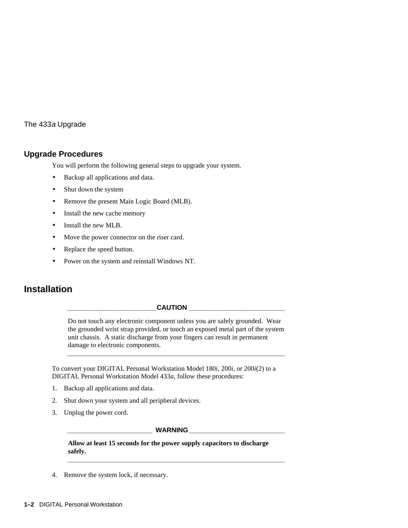#### **Upgrade Procedures**

You will perform the following general steps to upgrade your system.

- Backup all applications and data.
- Shut down the system
- Remove the present Main Logic Board (MLB).
- Install the new cache memory
- Install the new MLB.
- Move the power connector on the riser card.
- Replace the speed button.
- Power on the system and reinstall Windows NT.

## **Installation**

#### $CAUTION$

Do not touch any electronic component unless you are safely grounded. Wear the grounded wrist strap provided, or touch an exposed metal part of the system unit chassis. A static discharge from your fingers can result in permanent damage to electronic components.

**\_\_\_\_\_\_\_\_\_\_\_\_\_\_\_\_\_\_\_\_\_\_\_\_\_\_\_\_\_\_\_\_\_\_\_\_\_\_\_\_\_\_\_\_\_\_\_\_\_\_\_\_\_\_\_\_\_\_\_**

To convert your DIGITAL Personal Workstation Model 180*i*, 200*i*, or 200*i*(2) to a DIGITAL Personal Workstation Model 433*a*, follow these procedures:

- 1. Backup all applications and data.
- 2. Shut down your system and all peripheral devices.
- 3. Unplug the power cord.

**\_\_\_\_\_\_\_\_\_\_\_\_\_\_\_\_\_\_\_\_\_\_\_ WARNING\_\_\_\_\_\_\_\_\_\_\_\_\_\_\_\_\_\_\_\_\_\_\_\_\_\_**

**\_\_\_\_\_\_\_\_\_\_\_\_\_\_\_\_\_\_\_\_\_\_\_\_\_\_\_\_\_\_\_\_\_\_\_\_\_\_\_\_\_\_\_\_\_\_\_\_\_\_\_\_\_\_\_\_\_\_\_**

**Allow at least 15 seconds for the power supply capacitors to discharge safely.**

4. Remove the system lock, if necessary.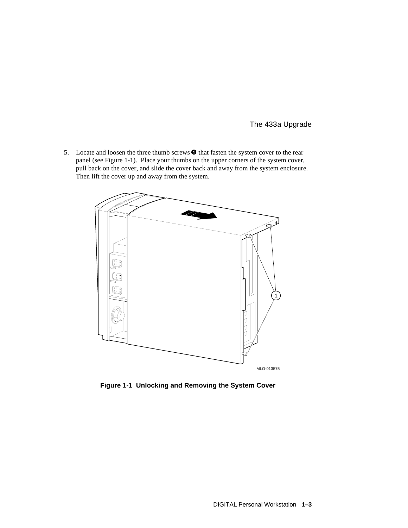5. Locate and loosen the three thumb screws  $\bullet$  that fasten the system cover to the rear panel (see Figure 1-1). Place your thumbs on the upper corners of the system cover, pull back on the cover, and slide the cover back and away from the system enclosure. Then lift the cover up and away from the system.



**Figure 1-1 Unlocking and Removing the System Cover**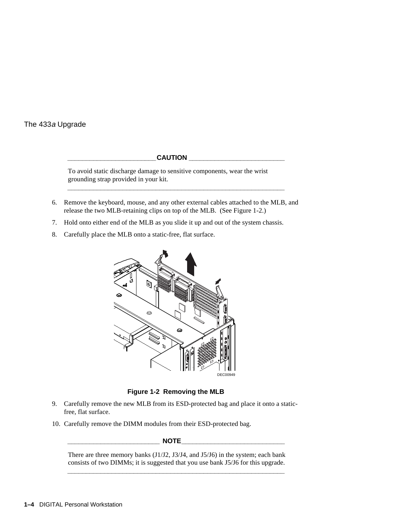#### $CAUTION$

To avoid static discharge damage to sensitive components, wear the wrist grounding strap provided in your kit.

6. Remove the keyboard, mouse, and any other external cables attached to the MLB, and release the two MLB-retaining clips on top of the MLB. (See Figure 1-2.)

**\_\_\_\_\_\_\_\_\_\_\_\_\_\_\_\_\_\_\_\_\_\_\_\_\_\_\_\_\_\_\_\_\_\_\_\_\_\_\_\_\_\_\_\_\_\_\_\_\_\_\_\_\_\_\_\_\_\_\_**

- 7. Hold onto either end of the MLB as you slide it up and out of the system chassis.
- 8. Carefully place the MLB onto a static-free, flat surface.



**Figure 1-2 Removing the MLB**

- 9. Carefully remove the new MLB from its ESD-protected bag and place it onto a staticfree, flat surface.
- 10. Carefully remove the DIMM modules from their ESD-protected bag.

**\_\_\_\_\_\_\_\_\_\_\_\_\_\_\_\_\_\_\_\_\_\_\_\_\_ NOTE\_\_\_\_\_\_\_\_\_\_\_\_\_\_\_\_\_\_\_\_\_\_\_\_\_\_\_\_**

There are three memory banks (J1/J2, J3/J4, and J5/J6) in the system; each bank consists of two DIMMs; it is suggested that you use bank J5/J6 for this upgrade. **\_\_\_\_\_\_\_\_\_\_\_\_\_\_\_\_\_\_\_\_\_\_\_\_\_\_\_\_\_\_\_\_\_\_\_\_\_\_\_\_\_\_\_\_\_\_\_\_\_\_\_\_\_\_\_\_\_\_\_**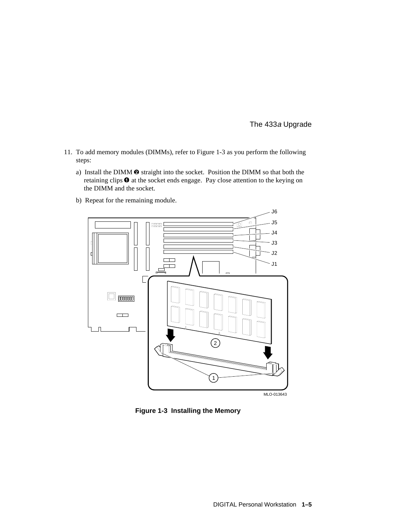- 11. To add memory modules (DIMMs), refer to Figure 1-3 as you perform the following steps:
	- a) Install the DIMM  $\odot$  straight into the socket. Position the DIMM so that both the retaining clips  $\bullet$  at the socket ends engage. Pay close attention to the keying on the DIMM and the socket.
	- b) Repeat for the remaining module.



**Figure 1-3 Installing the Memory**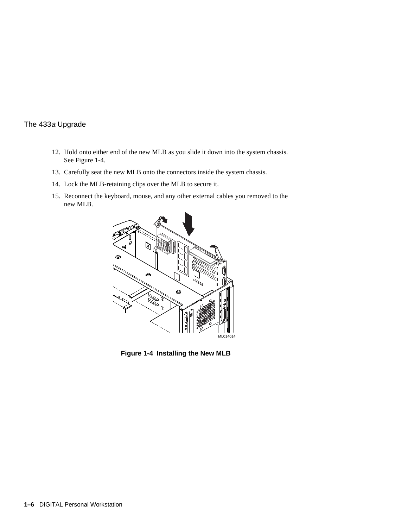- 12. Hold onto either end of the new MLB as you slide it down into the system chassis. See Figure 1-4.
- 13. Carefully seat the new MLB onto the connectors inside the system chassis.
- 14. Lock the MLB-retaining clips over the MLB to secure it.
- 15. Reconnect the keyboard, mouse, and any other external cables you removed to the new MLB.



**Figure 1-4 Installing the New MLB**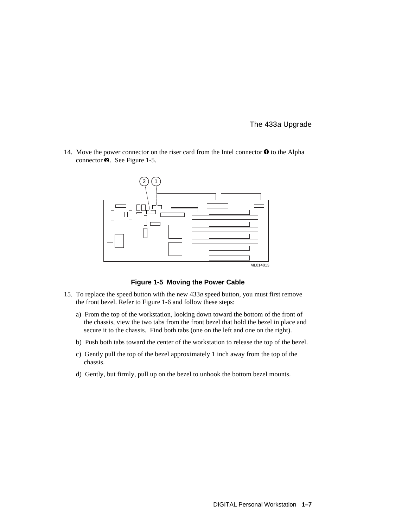14. Move the power connector on the riser card from the Intel connector  $\bullet$  to the Alpha connector  $\bullet$ . See Figure 1-5.



**Figure 1-5 Moving the Power Cable**

- 15. To replace the speed button with the new 433*a* speed button, you must first remove the front bezel. Refer to Figure 1-6 and follow these steps:
	- a) From the top of the workstation, looking down toward the bottom of the front of the chassis, view the two tabs from the front bezel that hold the bezel in place and secure it to the chassis. Find both tabs (one on the left and one on the right).
	- b) Push both tabs toward the center of the workstation to release the top of the bezel.
	- c) Gently pull the top of the bezel approximately 1 inch away from the top of the chassis.
	- d) Gently, but firmly, pull up on the bezel to unhook the bottom bezel mounts.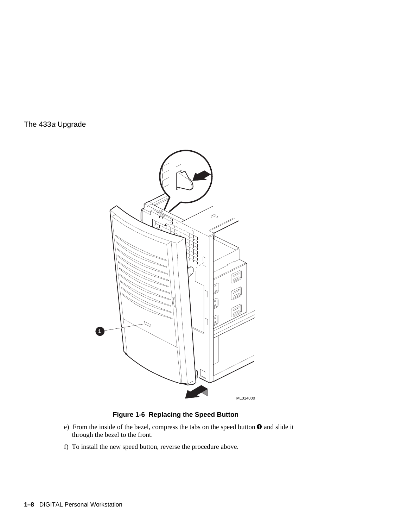

#### **Figure 1-6 Replacing the Speed Button**

- e) From the inside of the bezel, compress the tabs on the speed button  $\bullet$  and slide it through the bezel to the front.
- f) To install the new speed button, reverse the procedure above.